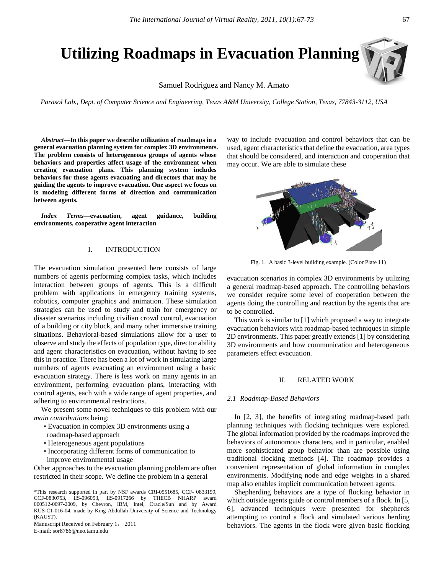# **Utilizing Roadmaps in Evacuation Planning**

Samuel Rodriguez and Nancy M. Amato

*Parasol Lab., Dept. of Computer Science and Engineering, Texas A&M University, College Station, Texas, 77843-3112, USA*

*Abstract***—In this paper we describe utilization of roadmaps in a general evacuation planning system for complex 3D environments. The problem consists of heterogeneous groups of agents whose behaviors and properties affect usage of the environment when creating evacuation plans. This planning system includes behaviors for those agents evacuating and directors that may be guiding the agents to improve evacuation. One aspect we focus on is modeling different forms of direction and communication between agents.**

*Index Terms***—evacuation, agent guidance, building environments, cooperative agent interaction**

# I. INTRODUCTION

The evacuation simulation presented here consists of large numbers of agents performing complex tasks, which includes interaction between groups of agents. This is a difficult problem with applications in emergency training systems, robotics, computer graphics and animation. These simulation strategies can be used to study and train for emergency or disaster scenarios including civilian crowd control, evacuation of a building or city block, and many other immersive training situations. Behavioral-based simulations allow for a user to observe and study the effects of population type, director ability and agent characteristics on evacuation, without having to see this in practice. There has been a lot of work in simulating large numbers of agents evacuating an environment using a basic evacuation strategy. There is less work on many agents in an environment, performing evacuation plans, interacting with control agents, each with a wide range of agent properties, and adhering to environmental restrictions.

We present some novel techniques to this problem with our *main contributions* being:

- Evacuation in complex 3D environments using a roadmap-based approach
- Heterogeneous agent populations
- Incorporating different forms of communication to improve environmental usage

Other approaches to the evacuation planning problem are often restricted in their scope. We define the problem in a general

\*This research supported in part by NSF awards CRI-0551685, CCF- 0833199, CCF-0830753, IIS-096053, IIS-0917266 by THECB NHARP award 000512-0097-2009, by Chevron, IBM, Intel, Oracle/Sun and by Award KUS-C1-016-04, made by King Abdullah University of Science and Technology (KAUST).

Manuscript Received on February 1, 2011 E-mail: sor8786@neo.tamu.edu

way to include evacuation and control behaviors that can be used, agent characteristics that define the evacuation, area types that should be considered, and interaction and cooperation that may occur. We are able to simulate these



Fig. 1. A basic 3-level building example. (Color Plate 11)

evacuation scenarios in complex 3D environments by utilizing a general roadmap-based approach. The controlling behaviors we consider require some level of cooperation between the agents doing the controlling and reaction by the agents that are to be controlled.

 This work is similar to [1] which proposed a way to integrate evacuation behaviors with roadmap-based techniques in simple 2D environments. This paper greatly extends [1] by considering 3D environments and how communication and heterogeneous parameters effect evacuation.

#### II. RELATED WORK

## *2.1 Roadmap-Based Behaviors*

 In [2, 3], the benefits of integrating roadmap-based path planning techniques with flocking techniques were explored. The global information provided by the roadmaps improved the behaviors of autonomous characters, and in particular, enabled more sophisticated group behavior than are possible using traditional flocking methods [4]. The roadmap provides a convenient representation of global information in complex environments. Modifying node and edge weights in a shared map also enables implicit communication between agents.

Shepherding behaviors are a type of flocking behavior in which outside agents guide or control members of a flock. In [5, 6], advanced techniques were presented for shepherds attempting to control a flock and simulated various herding behaviors. The agents in the flock were given basic flocking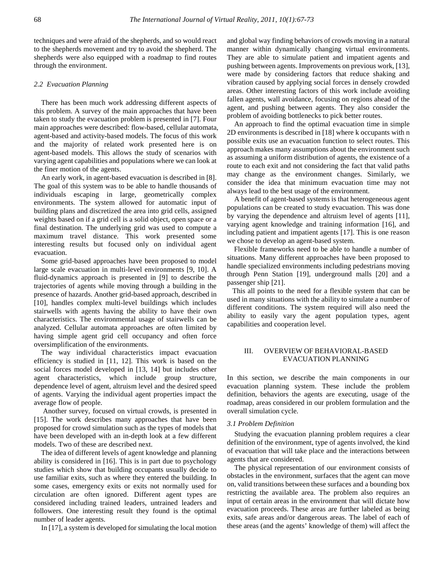techniques and were afraid of the shepherds, and so would react to the shepherds movement and try to avoid the shepherd. The shepherds were also equipped with a roadmap to find routes through the environment.

# *2.2 Evacuation Planning*

 There has been much work addressing different aspects of this problem. A survey of the main approaches that have been taken to study the evacuation problem is presented in [7]. Four main approaches were described: flow-based, cellular automata, agent-based and activity-based models. The focus of this work and the majority of related work presented here is on agent-based models. This allows the study of scenarios with varying agent capabilities and populations where we can look at the finer motion of the agents.

 An early work, in agent-based evacuation is described in [8]. The goal of this system was to be able to handle thousands of individuals escaping in large, geometrically complex environments. The system allowed for automatic input of building plans and discretized the area into grid cells, assigned weights based on if a grid cell is a solid object, open space or a final destination. The underlying grid was used to compute a maximum travel distance. This work presented some interesting results but focused only on individual agent evacuation.

 Some grid-based approaches have been proposed to model large scale evacuation in multi-level environments [9, 10]. A fluid-dynamics approach is presented in [9] to describe the trajectories of agents while moving through a building in the presence of hazards. Another grid-based approach, described in [10], handles complex multi-level buildings which includes stairwells with agents having the ability to have their own characteristics. The environmental usage of stairwells can be analyzed. Cellular automata approaches are often limited by having simple agent grid cell occupancy and often force oversimplification of the environments.

 The way individual characteristics impact evacuation efficiency is studied in [11, 12]. This work is based on the social forces model developed in [13, 14] but includes other agent characteristics, which include group structure, dependence level of agent, altruism level and the desired speed of agents. Varying the individual agent properties impact the average flow of people.

 Another survey, focused on virtual crowds, is presented in [15]. The work describes many approaches that have been proposed for crowd simulation such as the types of models that have been developed with an in-depth look at a few different models. Two of these are described next.

 The idea of different levels of agent knowledge and planning ability is considered in [16]. This is in part due to psychology studies which show that building occupants usually decide to use familiar exits, such as where they entered the building. In some cases, emergency exits or exits not normally used for circulation are often ignored. Different agent types are considered including trained leaders, untrained leaders and followers. One interesting result they found is the optimal number of leader agents.

In [17], a system is developed for simulating the local motion

and global way finding behaviors of crowds moving in a natural manner within dynamically changing virtual environments. They are able to simulate patient and impatient agents and pushing between agents. Improvements on previous work, [13], were made by considering factors that reduce shaking and vibration caused by applying social forces in densely crowded areas. Other interesting factors of this work include avoiding fallen agents, wall avoidance, focusing on regions ahead of the agent, and pushing between agents. They also consider the problem of avoiding bottlenecks to pick better routes.

 An approach to find the optimal evacuation time in simple 2D environments is described in [18] where k occupants with n possible exits use an evacuation function to select routes. This approach makes many assumptions about the environment such as assuming a uniform distribution of agents, the existence of a route to each exit and not considering the fact that valid paths may change as the environment changes. Similarly, we consider the idea that minimum evacuation time may not always lead to the best usage of the environment.

 A benefit of agent-based systems is that heterogeneous agent populations can be created to study evacuation. This was done by varying the dependence and altruism level of agents [11], varying agent knowledge and training information [16], and including patient and impatient agents [17]. This is one reason we chose to develop an agent-based system.

Flexible frameworks need to be able to handle a number of situations. Many different approaches have been proposed to handle specialized environments including pedestrians moving through Penn Station [19], underground malls [20] and a passenger ship [21].

 This all points to the need for a flexible system that can be used in many situations with the ability to simulate a number of different conditions. The system required will also need the ability to easily vary the agent population types, agent capabilities and cooperation level.

# III. OVERVIEW OF BEHAVIORAL-BASED EVACUATION PLANNING

In this section, we describe the main components in our evacuation planning system. These include the problem definition, behaviors the agents are executing, usage of the roadmap, areas considered in our problem formulation and the overall simulation cycle.

## *3.1 Problem Definition*

 Studying the evacuation planning problem requires a clear definition of the environment, type of agents involved, the kind of evacuation that will take place and the interactions between agents that are considered.

The physical representation of our environment consists of obstacles in the environment, surfaces that the agent can move on, valid transitions between these surfaces and a bounding box restricting the available area. The problem also requires an input of certain areas in the environment that will dictate how evacuation proceeds. These areas are further labeled as being exits, safe areas and/or dangerous areas. The label of each of these areas (and the agents' knowledge of them) will affect the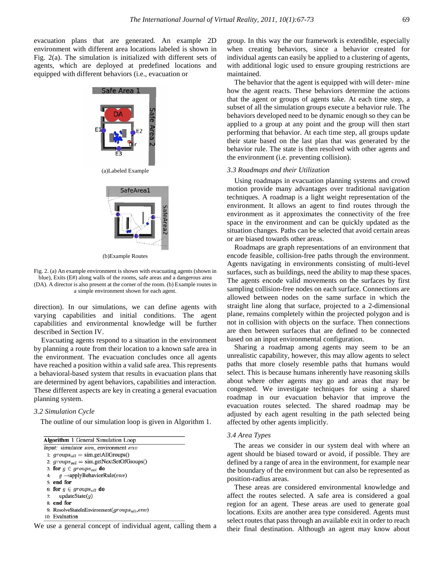evacuation plans that are generated. An example 2D environment with different area locations labeled is shown in Fig. 2(a). The simulation is initialized with different sets of agents, which are deployed at predefined locations and equipped with different behaviors (i.e., evacuation or



(b)Example Routes

Fig. 2. (a) An example environment is shown with evacuating agents (shown in blue), Exits (E#) along walls of the rooms, safe areas and a dangerous area (DA). A director is also present at the corner of the room. (b) Example routes in a simple environment shown for each agent.

direction). In our simulations, we can define agents with varying capabilities and initial conditions. The agent capabilities and environmental knowledge will be further described in Section IV.

 Evacuating agents respond to a situation in the environment by planning a route from their location to a known safe area in the environment. The evacuation concludes once all agents have reached a position within a valid safe area. This represents a behavioral-based system that results in evacuation plans that are determined by agent behaviors, capabilities and interaction. These different aspects are key in creating a general evacuation planning system.

#### *3.2 Simulation Cycle*

The outline of our simulation loop is given in Algorithm 1.

|    | <b>Algorithm 1 General Simulation Loop</b>               |
|----|----------------------------------------------------------|
|    | Input: simulator sim, environment env                    |
|    | 1: $groups_{all} = sim.getAll Groups()$                  |
|    | 2: $groups_{sel} = sim.getNextSetOf Groups()$            |
|    | 3: for $g \in groups_{sel}$ do                           |
| 4: | $q \rightarrow$ applyBehaviorRule( <i>env</i> )          |
|    | $5:$ end for                                             |
|    | 6: for $q \in groups_{all}$ do                           |
|    | 7: updateState $(q)$                                     |
|    | 8: end for                                               |
|    | 9: ResolveStateInEnvironment(groups <sub>all</sub> ,env) |
|    | 10: Evaluation                                           |

We use a general concept of individual agent, calling them a

group. In this way the our framework is extendible, especially when creating behaviors, since a behavior created for individual agents can easily be applied to a clustering of agents, with additional logic used to ensure grouping restrictions are maintained.

 The behavior that the agent is equipped with will deter- mine how the agent reacts. These behaviors determine the actions that the agent or groups of agents take. At each time step, a subset of all the simulation groups execute a behavior rule. The behaviors developed need to be dynamic enough so they can be applied to a group at any point and the group will then start performing that behavior. At each time step, all groups update their state based on the last plan that was generated by the behavior rule. The state is then resolved with other agents and the environment (i.e. preventing collision).

# *3.3 Roadmaps and their Utilization*

 Using roadmaps in evacuation planning systems and crowd motion provide many advantages over traditional navigation techniques. A roadmap is a light weight representation of the environment. It allows an agent to find routes through the environment as it approximates the connectivity of the free space in the environment and can be quickly updated as the situation changes. Paths can be selected that avoid certain areas or are biased towards other areas.

 Roadmaps are graph representations of an environment that encode feasible, collision-free paths through the environment. Agents navigating in environments consisting of multi-level surfaces, such as buildings, need the ability to map these spaces. The agents encode valid movements on the surfaces by first sampling collision-free nodes on each surface. Connections are allowed between nodes on the same surface in which the straight line along that surface, projected to a 2-dimensional plane, remains completely within the projected polygon and is not in collision with objects on the surface. Then connections are then between surfaces that are defined to be connected based on an input environmental configuration.

 Sharing a roadmap among agents may seem to be an unrealistic capability, however, this may allow agents to select paths that more closely resemble paths that humans would select. This is because humans inherently have reasoning skills about where other agents may go and areas that may be congested. We investigate techniques for using a shared roadmap in our evacuation behavior that improve the evacuation routes selected. The shared roadmap may be adjusted by each agent resulting in the path selected being affected by other agents implicitly.

## *3.4 Area Types*

 The areas we consider in our system deal with where an agent should be biased toward or avoid, if possible. They are defined by a range of area in the environment, for example near the boundary of the environment but can also be represented as position-radius areas.

 These areas are considered environmental knowledge and affect the routes selected. A safe area is considered a goal region for an agent. These areas are used to generate goal locations. Exits are another area type considered. Agents must select routes that pass through an available exit in order to reach their final destination. Although an agent may know about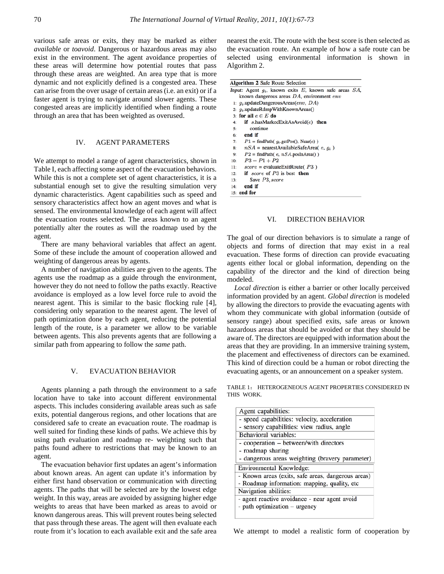various safe areas or exits, they may be marked as either *available* or *toavoid*. Dangerous or hazardous areas may also exist in the environment. The agent avoidance properties of these areas will determine how potential routes that pass through these areas are weighted. An area type that is more dynamic and not explicitly defined is a congested area. These can arise from the over usage of certain areas (i.e. an exit) or if a faster agent is trying to navigate around slower agents. These congested areas are implicitly identified when finding a route through an area that has been weighted as overused.

# IV. AGENT PARAMETERS

We attempt to model a range of agent characteristics, shown in Table I, each affecting some aspect of the evacuation behaviors. While this is not a complete set of agent characteristics, it is a substantial enough set to give the resulting simulation very dynamic characteristics. Agent capabilities such as speed and sensory characteristics affect how an agent moves and what is sensed. The environmental knowledge of each agent will affect the evacuation routes selected. The areas known to an agent potentially alter the routes as will the roadmap used by the agent.

 There are many behavioral variables that affect an agent. Some of these include the amount of cooperation allowed and weighting of dangerous areas by agents.

A number of navigation abilities are given to the agents. The agents use the roadmap as a guide through the environment, however they do not need to follow the paths exactly. Reactive avoidance is employed as a low level force rule to avoid the nearest agent. This is similar to the basic flocking rule [4], considering only separation to the nearest agent. The level of path optimization done by each agent, reducing the potential length of the route, is a parameter we allow to be variable between agents. This also prevents agents that are following a similar path from appearing to follow the *same* path.

# V. EVACUATION BEHAVIOR

 Agents planning a path through the environment to a safe location have to take into account different environmental aspects. This includes considering available areas such as safe exits, potential dangerous regions, and other locations that are considered safe to create an evacuation route. The roadmap is well suited for finding these kinds of paths. We achieve this by using path evaluation and roadmap re- weighting such that paths found adhere to restrictions that may be known to an agent.

 The evacuation behavior first updates an agent's information about known areas. An agent can update it's information by either first hand observation or communication with directing agents. The paths that will be selected are by the lowest edge weight. In this way, areas are avoided by assigning higher edge weights to areas that have been marked as areas to avoid or known dangerous areas. This will prevent routes being selected that pass through these areas. The agent will then evaluate each route from it's location to each available exit and the safe area nearest the exit. The route with the best score is then selected as the evacuation route. An example of how a safe route can be selected using environmental information is shown in Algorithm 2.

| <b>Algorithm 2 Safe Route Selection</b>                           |  |
|-------------------------------------------------------------------|--|
| Input: Agent $q_i$ , known exits E, known safe areas $SA$ ,       |  |
| known dangerous areas $DA$ , environment $env$                    |  |
| 1: $q_i$ , updateDangerousAreas(env, DA)                          |  |
| 2: $q_i$ , updateRdmpWithKnownAreas()                             |  |
| 3: for all $e \in E$ do                                           |  |
| <b>if</b> s.hasMarkedExitAsAvoid $(e)$ then<br>4:                 |  |
| continue<br>5:                                                    |  |
| end if<br>6:                                                      |  |
| $P1 = \text{findPath}(q_i.\text{getPos}(), \text{Near}(e))$<br>7: |  |
| $nSA$ = nearestAvailableSafeArea(e, $q_i$ )<br>8:                 |  |
| $P2 = \text{findPath}(e, nSA. \text{posInArea}()$<br>9:           |  |
| $P3 = P1 + P2$<br>10:                                             |  |
| $score = evaluateExit Route(P3)$<br>11:                           |  |
| if score of $P3$ is best then<br>12:                              |  |
| $P_{\text{avio}}$ $D9$ $\ldots$<br>12.                            |  |

 $13:$ Save P3, score end if

 $14:$ 15: end for

# VI. DIRECTION BEHAVIOR

The goal of our direction behaviors is to simulate a range of objects and forms of direction that may exist in a real evacuation. These forms of direction can provide evacuating agents either local or global information, depending on the capability of the director and the kind of direction being modeled.

*Local direction* is either a barrier or other locally perceived information provided by an agent. *Global direction* is modeled by allowing the directors to provide the evacuating agents with whom they communicate with global information (outside of sensory range) about specified exits, safe areas or known hazardous areas that should be avoided or that they should be aware of. The directors are equipped with information about the areas that they are providing. In an immersive training system, the placement and effectiveness of directors can be examined. This kind of direction could be a human or robot directing the evacuating agents, or an announcement on a speaker system.

TABLE 1: HETEROGENEOUS AGENT PROPERTIES CONSIDERED IN THIS WORK.

| Agent capabilities:                                |  |  |  |  |  |
|----------------------------------------------------|--|--|--|--|--|
| - speed capabilities: velocity, acceleration       |  |  |  |  |  |
| - sensory capabilities: view radius, angle         |  |  |  |  |  |
| <b>Behavioral</b> variables:                       |  |  |  |  |  |
| - cooperation – between/with directors             |  |  |  |  |  |
| - roadmap sharing                                  |  |  |  |  |  |
| - dangerous areas weighting (bravery parameter)    |  |  |  |  |  |
| Environmental Knowledge:                           |  |  |  |  |  |
| - Known areas (exits, safe areas, dangerous areas) |  |  |  |  |  |
| - Roadmap information: mapping, quality, etc.      |  |  |  |  |  |
| Navigation abilities:                              |  |  |  |  |  |
| - agent reactive avoidance - near agent avoid      |  |  |  |  |  |
| - path optimization – urgency                      |  |  |  |  |  |
|                                                    |  |  |  |  |  |

We attempt to model a realistic form of cooperation by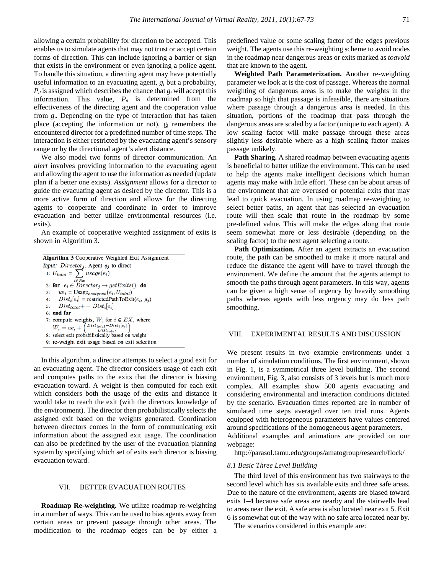allowing a certain probability for direction to be accepted. This enables us to simulate agents that may not trust or accept certain forms of direction. This can include ignoring a barrier or sign that exists in the environment or even ignoring a police agent. To handle this situation, a directing agent may have potentially useful information to an evacuating agent, *gi* but a probability,  $P_d$  is assigned which describes the chance that  $g_i$  will accept this information. This value,  $P_d$  is determined from the effectiveness of the directing agent and the cooperation value from *gi*. Depending on the type of interaction that has taken place (accepting the information or not),  $g_i$  remembers the encountered director for a predefined number of time steps. The interaction is either restricted by the evacuating agent's sensory range or by the directional agent's alert distance.

 We also model two forms of director communication. An *alert* involves providing information to the evacuating agent and allowing the agent to use the information as needed (update plan if a better one exists). *Assignment* allows for a director to guide the evacuating agent as desired by the director. This is a more active form of direction and allows for the directing agents to cooperate and coordinate in order to improve evacuation and better utilize environmental resources (i.e. exits).

An example of cooperative weighted assignment of exits is shown in Algorithm 3.

| <b>Algorithm 3 Cooperative Weighted Exit Assignment</b>                     |
|-----------------------------------------------------------------------------|
| Input: $Directory_i$ , Agent $g_i$ to direct                                |
| 1: $U_{total} = \sum$ usage(e <sub>i</sub> )                                |
| $i \in Ex$<br>2: for $e_i \in Director_i \rightarrow getExist()$ do         |
| 3: $ue_i = \text{Usage}_{assigned}(e_i, U_{total})$                         |
| 4: $Dist_i[e_i]$ = restrictedPathToExit( $e_i$ , $g_j$ )                    |
| 5: $Dist_{total} += Dist_i[e_i]$                                            |
| $6:$ end for                                                                |
| 7: compute weights, $W_i$ for $i \in EX$ , where                            |
| $W_i = ue_i + \left(\frac{Dist_{total} - Dist_i[e_i]}{Dist_{total}}\right)$ |
| 8: select exit probabilistically based on weight                            |
| 9: re-weight exit usage based on exit selection                             |

In this algorithm, a director attempts to select a good exit for an evacuating agent. The director considers usage of each exit and computes paths to the exits that the director is biasing evacuation toward. A weight is then computed for each exit which considers both the usage of the exits and distance it would take to reach the exit (with the directors knowledge of the environment). The director then probabilistically selects the assigned exit based on the weights generated. Coordination between directors comes in the form of communicating exit information about the assigned exit usage. The coordination can also be predefined by the user of the evacuation planning system by specifying which set of exits each director is biasing evacuation toward.

# VII. BETTER EVACUATION ROUTES

 **Roadmap Re-weighting.** We utilize roadmap re-weighting in a number of ways. This can be used to bias agents away from certain areas or prevent passage through other areas. The modification to the roadmap edges can be by either a

predefined value or some scaling factor of the edges previous weight. The agents use this re-weighting scheme to avoid nodes in the roadmap near dangerous areas or exits marked as *toavoid*  that are known to the agent.

 **Weighted Path Parameterization.** Another re-weighting parameter we look at is the cost of passage. Whereas the normal weighting of dangerous areas is to make the weights in the roadmap so high that passage is infeasible, there are situations where passage through a dangerous area is needed. In this situation, portions of the roadmap that pass through the dangerous areas are scaled by a factor (unique to each agent). A low scaling factor will make passage through these areas slightly less desirable where as a high scaling factor makes passage unlikely.

 **Path Sharing.** A shared roadmap between evacuating agents is beneficial to better utilize the environment. This can be used to help the agents make intelligent decisions which human agents may make with little effort. These can be about areas of the environment that are overused or potential exits that may lead to quick evacuation. In using roadmap re-weighting to select better paths, an agent that has selected an evacuation route will then scale that route in the roadmap by some pre-defined value. This will make the edges along that route seem somewhat more or less desirable (depending on the scaling factor) to the next agent selecting a route.

Path Optimization. After an agent extracts an evacuation route, the path can be smoothed to make it more natural and reduce the distance the agent will have to travel through the environment. We define the amount that the agents attempt to smooth the paths through agent parameters. In this way, agents can be given a high sense of urgency by heavily smoothing paths whereas agents with less urgency may do less path smoothing.

### VIII. EXPERIMENTAL RESULTS AND DISCUSSION

We present results in two example environments under a number of simulation conditions. The first environment, shown in Fig. 1, is a symmetrical three level building. The second environment, Fig. 3, also consists of 3 levels but is much more complex. All examples show 500 agents evacuating and considering environmental and interaction conditions dictated by the scenario. Evacuation times reported are in number of simulated time steps averaged over ten trial runs. Agents equipped with heterogeneous parameters have values centered around specifications of the homogeneous agent parameters. Additional examples and animations are provided on our webpage:

http://parasol.tamu.edu/groups/amatogroup/research/flock/

#### *8.1 Basic Three Level Building*

 The third level of this environment has two stairways to the second level which has six available exits and three safe areas. Due to the nature of the environment, agents are biased toward exits 1–4 because safe areas are nearby and the stairwells lead to areas near the exit. A safe area is also located near exit 5. Exit 6 is somewhat out of the way with no safe area located near by.

The scenarios considered in this example are: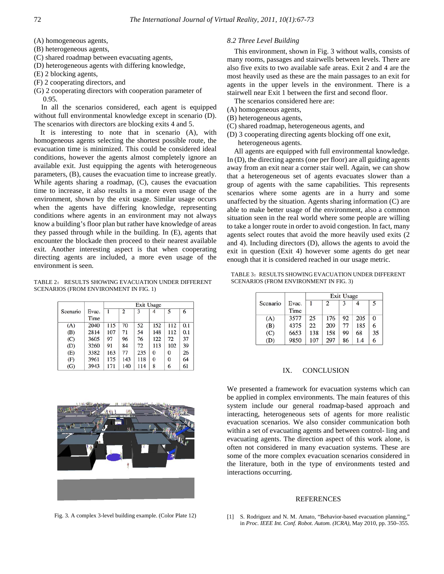(A) homogeneous agents,

(B) heterogeneous agents,

(C) shared roadmap between evacuating agents,

(D) heterogeneous agents with differing knowledge,

(E) 2 blocking agents,

(F) 2 cooperating directors, and

(G) 2 cooperating directors with cooperation parameter of 0.95.

 In all the scenarios considered, each agent is equipped without full environmental knowledge except in scenario (D). The scenarios with directors are blocking exits 4 and 5.

It is interesting to note that in scenario (A), with homogeneous agents selecting the shortest possible route, the evacuation time is minimized. This could be considered ideal conditions, however the agents almost completely ignore an available exit. Just equipping the agents with heterogeneous parameters, (B), causes the evacuation time to increase greatly. While agents sharing a roadmap, (C), causes the evacuation time to increase, it also results in a more even usage of the environment, shown by the exit usage. Similar usage occurs when the agents have differing knowledge, representing conditions where agents in an environment may not always know a building's floor plan but rather have knowledge of areas they passed through while in the building. In (E), agents that encounter the blockade then proceed to their nearest available exit. Another interesting aspect is that when cooperating directing agents are included, a more even usage of the environment is seen.

TABLE 2: RESULTS SHOWING EVACUATION UNDER DIFFERENT SCENARIOS (FROM ENVIRONMENT IN FIG. 1)

|          |       | Exit Usage |                |     |          |     |     |  |
|----------|-------|------------|----------------|-----|----------|-----|-----|--|
| Scenario | Evac. | 1          | $\overline{2}$ | 3   |          | 5   | 6   |  |
|          | Time  |            |                |     |          |     |     |  |
| (A)      | 2040  | 115        | 70             | 52  | 152      | 112 | 0.1 |  |
| (B)      | 2814  | 107        | 71             | 54  | 148      | 112 | 0.1 |  |
| (C)      | 3605  | 97         | 96             | 76  | 122      | 72  | 37  |  |
| (D)      | 3260  | 91         | 84             | 72  | 113      | 102 | 39  |  |
| (E)      | 3382  | 163        | 77             | 235 | $\Omega$ | 0   | 26  |  |
| (F)      | 3961  | 175        | 143            | 118 | $\bf{0}$ | 0   | 64  |  |
| (G)      | 3943  | 171        | 140            | 114 | 8        | 6   | 61  |  |



Fig. 3. A complex 3-level building example. (Color Plate 12)

# *8.2 Three Level Building*

 This environment, shown in Fig. 3 without walls, consists of many rooms, passages and stairwells between levels. There are also five exits to two available safe areas. Exit 2 and 4 are the most heavily used as these are the main passages to an exit for agents in the upper levels in the environment. There is a stairwell near Exit 1 between the first and second floor.

The scenarios considered here are:

- (A) homogeneous agents,
- (B) heterogeneous agents,
- (C) shared roadmap, heterogeneous agents, and
- (D) 3 cooperating directing agents blocking off one exit, heterogeneous agents.

All agents are equipped with full environmental knowledge. In (D), the directing agents (one per floor) are all guiding agents away from an exit near a corner stair well. Again, we can show that a heterogeneous set of agents evacuates slower than a group of agents with the same capabilities. This represents scenarios where some agents are in a hurry and some unaffected by the situation. Agents sharing information (C) are able to make better usage of the environment, also a common situation seen in the real world where some people are willing to take a longer route in order to avoid congestion. In fact, many agents select routes that avoid the more heavily used exits (2 and 4). Including directors (D), allows the agents to avoid the exit in question (Exit 4) however some agents do get near enough that it is considered reached in our usage metric.

TABLE 3: RESULTS SHOWING EVACUATION UNDER DIFFERENT SCENARIOS (FROM ENVIRONMENT IN FIG. 3)

|          |       | Exit Usage |     |    |     |    |
|----------|-------|------------|-----|----|-----|----|
| Scenario | Evac. |            | 2   |    |     | 5  |
|          | Time  |            |     |    |     |    |
| (A)      | 3577  | 25         | 176 | 92 | 205 | 0  |
| (B)      | 4375  | 22         | 209 | 77 | 185 | 6  |
| (C)      | 6653  | 138        | 158 | 99 | 68  | 35 |
| (D)      | 9850  | 107        | 297 | 86 | 1.4 | 6  |

# IX. CONCLUSION

We presented a framework for evacuation systems which can be applied in complex environments. The main features of this system include our general roadmap-based approach and interacting, heterogeneous sets of agents for more realistic evacuation scenarios. We also consider communication both within a set of evacuating agents and between control- ling and evacuating agents. The direction aspect of this work alone, is often not considered in many evacuation systems. These are some of the more complex evacuation scenarios considered in the literature, both in the type of environments tested and interactions occurring.

#### REFERENCES

[1] S. Rodriguez and N. M. Amato, "Behavior-based evacuation planning," in *Proc. IEEE Int. Conf. Robot. Autom. (ICRA)*, May 2010, pp. 350–355.